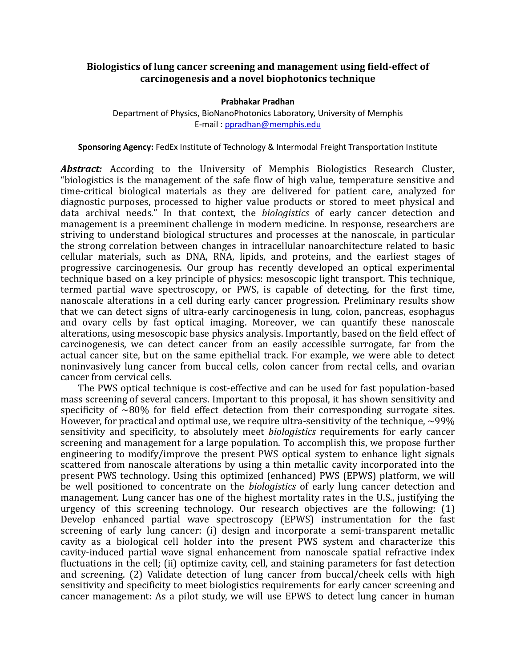## **Biologistics of lung cancer screening and management using field-effect of carcinogenesis and a novel biophotonics technique**

## **Prabhakar Pradhan**

Department of Physics, BioNanoPhotonics Laboratory, University of Memphis E-mail : [ppradhan@memphis.edu](mailto:ppradhan@memphis.edu)

**Sponsoring Agency:** FedEx Institute of Technology & Intermodal Freight Transportation Institute

Abstract: According to the University of Memphis Biologistics Research Cluster, "biologistics is the management of the safe flow of high value, temperature sensitive and time-critical biological materials as they are delivered for patient care, analyzed for diagnostic purposes, processed to higher value products or stored to meet physical and data archival needs." In that context, the *biologistics* of early cancer detection and management is a preeminent challenge in modern medicine. In response, researchers are striving to understand biological structures and processes at the nanoscale, in particular the strong correlation between changes in intracellular nanoarchitecture related to basic cellular materials, such as DNA, RNA, lipids, and proteins, and the earliest stages of progressive carcinogenesis. Our group has recently developed an optical experimental technique based on a key principle of physics: mesoscopic light transport. This technique, termed partial wave spectroscopy, or PWS, is capable of detecting, for the first time, nanoscale alterations in a cell during early cancer progression. Preliminary results show that we can detect signs of ultra-early carcinogenesis in lung, colon, pancreas, esophagus and ovary cells by fast optical imaging. Moreover, we can quantify these nanoscale alterations, using mesoscopic base physics analysis. Importantly, based on the field effect of carcinogenesis, we can detect cancer from an easily accessible surrogate, far from the actual cancer site, but on the same epithelial track. For example, we were able to detect noninvasively lung cancer from buccal cells, colon cancer from rectal cells, and ovarian cancer from cervical cells.

The PWS optical technique is cost-effective and can be used for fast population-based mass screening of several cancers. Important to this proposal, it has shown sensitivity and specificity of  $\sim80\%$  for field effect detection from their corresponding surrogate sites. However, for practical and optimal use, we require ultra-sensitivity of the technique,  $\sim$ 99% sensitivity and specificity, to absolutely meet *biologistics* requirements for early cancer screening and management for a large population. To accomplish this, we propose further engineering to modify/improve the present PWS optical system to enhance light signals scattered from nanoscale alterations by using a thin metallic cavity incorporated into the present PWS technology. Using this optimized (enhanced) PWS (EPWS) platform, we will be well positioned to concentrate on the *biologistics* of early lung cancer detection and management. Lung cancer has one of the highest mortality rates in the U.S., justifying the urgency of this screening technology. Our research objectives are the following: (1) Develop enhanced partial wave spectroscopy (EPWS) instrumentation for the fast screening of early lung cancer: (i) design and incorporate a semi-transparent metallic cavity as a biological cell holder into the present PWS system and characterize this cavity-induced partial wave signal enhancement from nanoscale spatial refractive index fluctuations in the cell; (ii) optimize cavity, cell, and staining parameters for fast detection and screening. (2) Validate detection of lung cancer from buccal/cheek cells with high sensitivity and specificity to meet biologistics requirements for early cancer screening and cancer management: As a pilot study, we will use EPWS to detect lung cancer in human